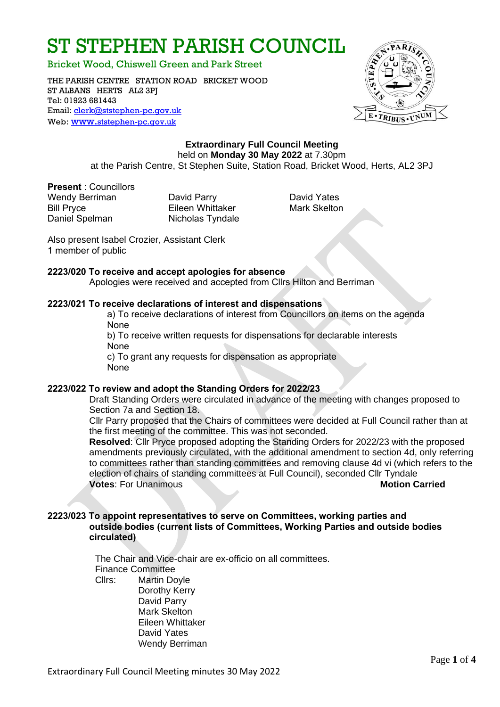# ST STEPHEN PARISH COUNCIL

Bricket Wood, Chiswell Green and Park Street

THE PARISH CENTRE STATION ROAD BRICKET WOOD ST ALBANS HERTS AL2 3PJ Tel: 01923 681443 Email: [clerk@ststephen-pc.gov.uk](mailto:clerk@ststephen-pc.gov.uk)  Web: www.[ststephen-pc.gov.uk](http://www.ststephen-pc.gov.uk/)



# **Extraordinary Full Council Meeting** held on **Monday 30 May 2022** at 7.30pm

at the Parish Centre, St Stephen Suite, Station Road, Bricket Wood, Herts, AL2 3PJ

**Present** : Councillors Wendy Berriman **David Parry Communist Control** David Yates Bill Pryce **Eileen Whittaker** Mark Skelton Daniel Spelman Nicholas Tyndale

 Also present Isabel Crozier, Assistant Clerk 1 member of public

#### **2223/020 To receive and accept apologies for absence**

Apologies were received and accepted from Cllrs Hilton and Berriman

#### **2223/021 To receive declarations of interest and dispensations**

a) To receive declarations of interest from Councillors on items on the agenda None

b) To receive written requests for dispensations for declarable interests None

c) To grant any requests for dispensation as appropriate None

#### **2223/022 To review and adopt the Standing Orders for 2022/23**

Draft Standing Orders were circulated in advance of the meeting with changes proposed to Section 7a and Section 18.

Cllr Parry proposed that the Chairs of committees were decided at Full Council rather than at the first meeting of the committee. This was not seconded.

**Resolved**: Cllr Pryce proposed adopting the Standing Orders for 2022/23 with the proposed amendments previously circulated, with the additional amendment to section 4d, only referring to committees rather than standing committees and removing clause 4d vi (which refers to the election of chairs of standing committees at Full Council), seconded Cllr Tyndale **Votes:** For Unanimous **Motion Carried** 

#### **2223/023 To appoint representatives to serve on Committees, working parties and outside bodies (current lists of Committees, Working Parties and outside bodies circulated)**

The Chair and Vice-chair are ex-officio on all committees. Finance Committee Cllrs: Martin Doyle Dorothy Kerry David Parry Mark Skelton Eileen Whittaker David Yates

Wendy Berriman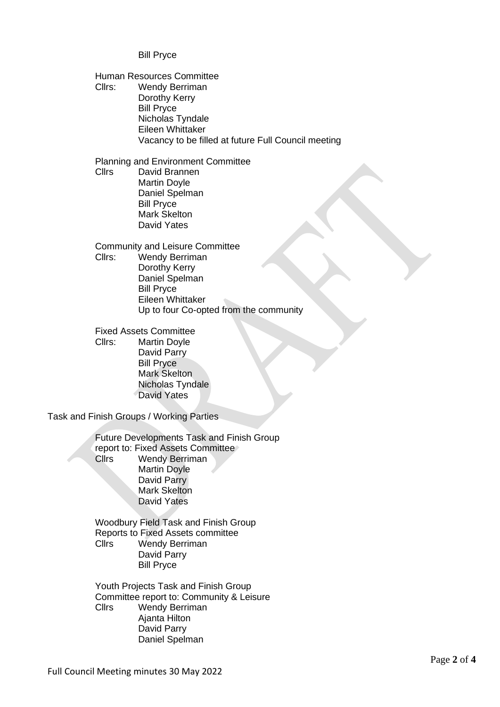Bill Pryce

Human Resources Committee Cllrs: Wendy Berriman Dorothy Kerry Bill Pryce Nicholas Tyndale Eileen Whittaker Vacancy to be filled at future Full Council meeting

Planning and Environment Committee Cllrs David Brannen Martin Doyle Daniel Spelman Bill Pryce Mark Skelton David Yates

Community and Leisure Committee Cllrs: Wendy Berriman Dorothy Kerry Daniel Spelman Bill Pryce Eileen Whittaker Up to four Co-opted from the community

Fixed Assets Committee Cllrs: Martin Doyle David Parry Bill Pryce Mark Skelton Nicholas Tyndale David Yates

Task and Finish Groups / Working Parties

Future Developments Task and Finish Group report to: Fixed Assets Committee Cllrs Wendy Berriman Martin Doyle David Parry Mark Skelton David Yates

Woodbury Field Task and Finish Group Reports to Fixed Assets committee Cllrs Wendy Berriman David Parry Bill Pryce

Youth Projects Task and Finish Group Committee report to: Community & Leisure Cllrs Wendy Berriman Ajanta Hilton David Parry Daniel Spelman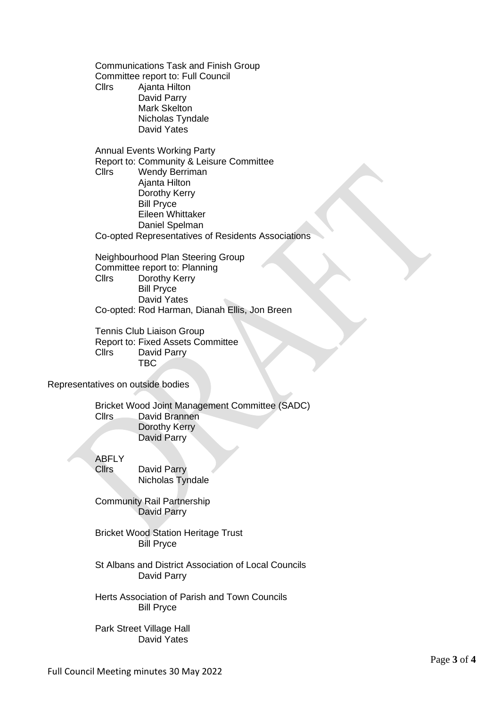Communications Task and Finish Group Committee report to: Full Council Cllrs Ajanta Hilton David Parry Mark Skelton Nicholas Tyndale David Yates

Annual Events Working Party Report to: Community & Leisure Committee Cllrs Wendy Berriman Ajanta Hilton Dorothy Kerry Bill Pryce Eileen Whittaker Daniel Spelman Co-opted Representatives of Residents Associations

Neighbourhood Plan Steering Group Committee report to: Planning Cllrs Dorothy Kerry Bill Pryce David Yates Co-opted: Rod Harman, Dianah Ellis, Jon Breen

Tennis Club Liaison Group Report to: Fixed Assets Committee Cllrs David Parry TBC

Representatives on outside bodies

Bricket Wood Joint Management Committee (SADC) Cllrs David Brannen Dorothy Kerry David Parry

**ABFLY** 

Cllrs David Parry Nicholas Tyndale

Community Rail Partnership David Parry

Bricket Wood Station Heritage Trust Bill Pryce

St Albans and District Association of Local Councils David Parry

Herts Association of Parish and Town Councils Bill Pryce

Park Street Village Hall David Yates